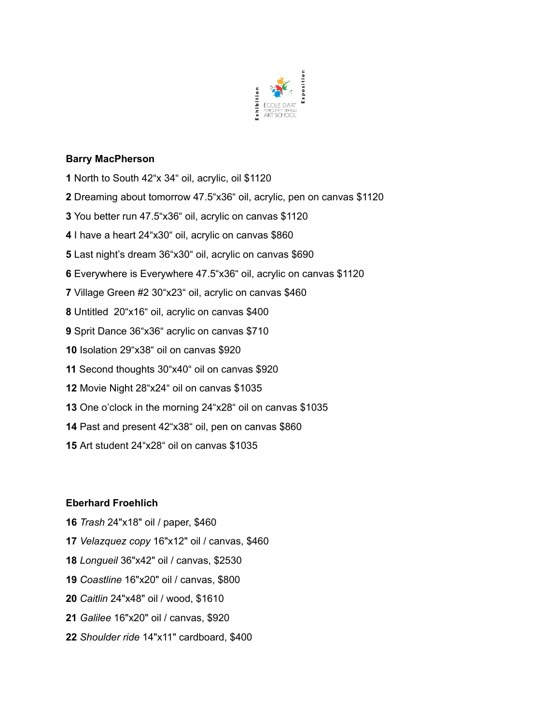

## **Barry MacPherson**

North to South 42"x 34" oil, acrylic, oil \$1120 Dreaming about tomorrow 47.5"x36" oil, acrylic, pen on canvas \$1120 You better run 47.5"x36" oil, acrylic on canvas \$1120 I have a heart 24"x30" oil, acrylic on canvas \$860 Last night's dream 36"x30" oil, acrylic on canvas \$690 Everywhere is Everywhere 47.5"x36" oil, acrylic on canvas \$1120 Village Green #2 30"x23" oil, acrylic on canvas \$460 Untitled 20"x16" oil, acrylic on canvas \$400 Sprit Dance 36"x36" acrylic on canvas \$710 Isolation 29"x38" oil on canvas \$920 Second thoughts 30"x40" oil on canvas \$920 Movie Night 28"x24" oil on canvas \$1035 One o'clock in the morning 24"x28" oil on canvas \$1035 Past and present 42"x38" oil, pen on canvas \$860 Art student 24"x28" oil on canvas \$1035

## **Eberhard Froehlich**

- *Trash* 24"x18" oil / paper, \$460
- *Velazquez copy* 16"x12" oil / canvas, \$460
- *Longueil* 36"x42" oil / canvas, \$2530
- *Coastline* 16"x20" oil / canvas, \$800
- *Caitlin* 24"x48" oil / wood, \$1610
- *Galilee* 16"x20" oil / canvas, \$920
- *Shoulder ride* 14"x11" cardboard, \$400